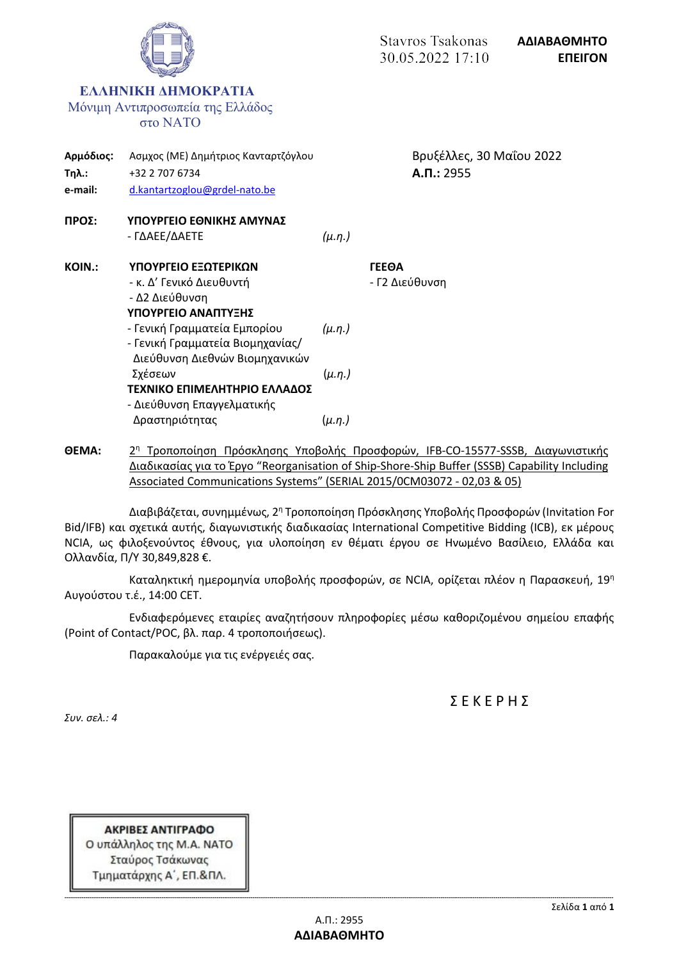

**ΘΕΜΑ:** 2 <sup>η</sup> Τροποποίηση Πρόσκλησης Υποβολής Προσφορών, IFB-CO-15577-SSSB, Διαγωνιστικής Διαδικασίας για το Έργο "Reorganisation of Ship-Shore-Ship Buffer (SSSB) Capability Including Associated Communications Systems" (SERIAL 2015/0CM03072 - 02,03 & 05)

Διαβιβάζεται, συνημμένως, 2<sup>η</sup> Τροποποίηση Πρόσκλησης Υποβολής Προσφορών (Invitation For Bid/IFB) και σχετικά αυτής, διαγωνιστικής διαδικασίας International Competitive Bidding (ICB), εκ μέρους NCIA, ως φιλοξενούντος έθνους, για υλοποίηση εν θέματι έργου σε Ηνωμένο Βασίλειο, Ελλάδα και Ολλανδία, Π/Υ 30,849,828 €.

Καταληκτική ημερομηνία υποβολής προσφορών, σε NCIA, ορίζεται πλέον η Παρασκευή, 19<sup>η</sup> Αυγούστου τ.έ., 14:00 CET.

Ενδιαφερόμενες εταιρίες αναζητήσουν πληροφορίες μέσω καθοριζομένου σημείου επαφής (Point of Contact/POC, βλ. παρ. 4 τροποποιήσεως).

Παρακαλούμε για τις ενέργειές σας.

Σ Ε Κ Ε Ρ Η Σ

*Συν. σελ.: 4*

ΑΚΡΙΒΕΣ ΑΝΤΙΓΡΑΦΟ Ο υπάλληλος της Μ.Α. ΝΑΤΟ Σταύρος Τσάκωνας Τμηματάρχης Α΄, ΕΠ.&ΠΛ.

**-------------------------------------------------------------------------------------------------------------------------------------------------------------------------------------------------------------------------------------------------------------------------------------------------**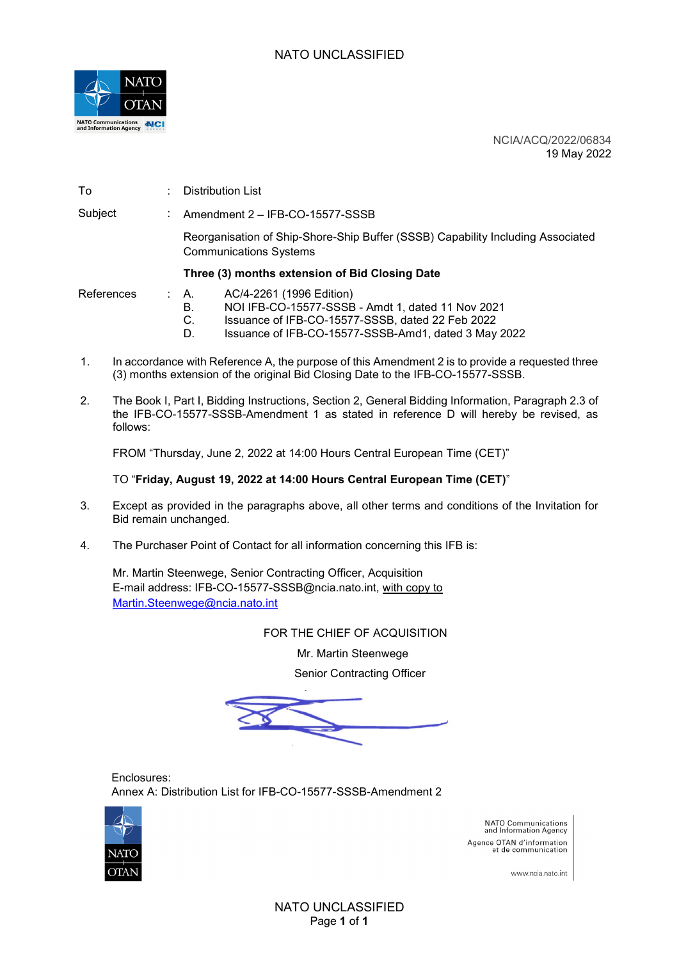

NCIA/ACQ/2022/06834 19 May 2022

| To         |  | Distribution List                                                                                                |  |  |
|------------|--|------------------------------------------------------------------------------------------------------------------|--|--|
| Subject    |  | Amendment 2 - IFB-CO-15577-SSSB                                                                                  |  |  |
|            |  | Reorganisation of Ship-Shore-Ship Buffer (SSSB) Capability Including Associated<br><b>Communications Systems</b> |  |  |
|            |  | Three (3) months extension of Bid Closing Date                                                                   |  |  |
| References |  | AC/4-2261 (1996 Edition)<br>$\therefore$ A.<br>NOI IFB-CO-15577-SSSB - Amdt 1, dated 11 Nov 2021<br>В.           |  |  |

- 
- C. Issuance of IFB-CO-15577-SSSB, dated 22 Feb 2022 Issuance of IFB-CO-15577-SSSB-Amd1, dated 3 May 2022
- 1. In accordance with Reference A, the purpose of this Amendment 2 is to provide a requested three (3) months extension of the original Bid Closing Date to the IFB-CO-15577-SSSB.
- 2. The Book I, Part I, Bidding Instructions, Section 2, General Bidding Information, Paragraph 2.3 of the IFB-CO-15577-SSSB-Amendment 1 as stated in reference D will hereby be revised, as follows:

FROM "Thursday, June 2, 2022 at 14:00 Hours Central European Time (CET)"

#### TO "**Friday, August 19, 2022 at 14:00 Hours Central European Time (CET)**"

- 3. Except as provided in the paragraphs above, all other terms and conditions of the Invitation for Bid remain unchanged.
- 4. The Purchaser Point of Contact for all information concerning this IFB is:

Mr. Martin Steenwege, Senior Contracting Officer, Acquisition E-mail address: IFB-CO-15577-SSSB@ncia.nato.int, with copy to [Martin.Steenwege@ncia.nato.int](mailto:Martin.Steenwege@ncia.nato.int)

FOR THE CHIEF OF ACQUISITION

Mr. Martin Steenwege

Senior Contracting Officer

Enclosures: Annex A: Distribution List for IFB-CO-15577-SSSB-Amendment 2



NATO Communications<br>and Information Agency Agence OTAN d'information et de communication

www.ncia.nato.int

NATO UNCLASSIFIED Page **1** of **1**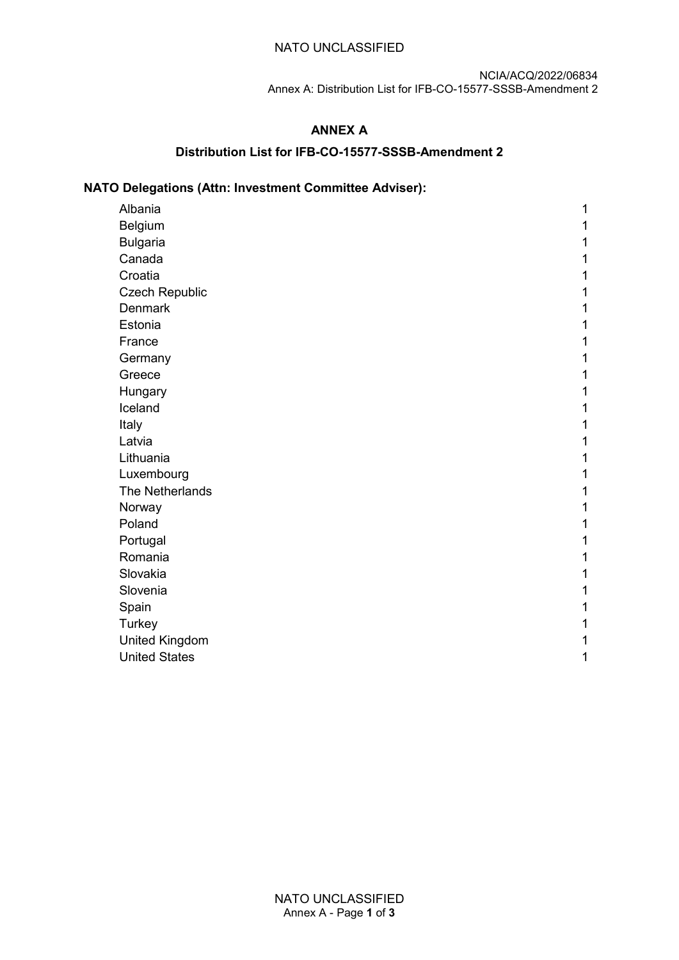#### NATO UNCLASSIFIED

NCIA/ACQ/2022/06834 Annex A: Distribution List for IFB-CO-15577-SSSB-Amendment 2

## **ANNEX A**

#### **Distribution List for IFB-CO-15577-SSSB-Amendment 2**

# **NATO Delegations (Attn: Investment Committee Adviser):**

| Albania               | 1 |
|-----------------------|---|
| Belgium               |   |
| <b>Bulgaria</b>       |   |
| Canada                |   |
| Croatia               |   |
| <b>Czech Republic</b> |   |
| <b>Denmark</b>        |   |
| Estonia               |   |
| France                |   |
| Germany               |   |
| Greece                |   |
| Hungary               |   |
| Iceland               |   |
| Italy                 |   |
| Latvia                |   |
| Lithuania             |   |
| Luxembourg            |   |
| The Netherlands       |   |
| Norway                |   |
| Poland                |   |
| Portugal              |   |
| Romania               |   |
| Slovakia              |   |
| Slovenia              |   |
| Spain                 |   |
| Turkey                |   |
| <b>United Kingdom</b> | 1 |
| <b>United States</b>  | 1 |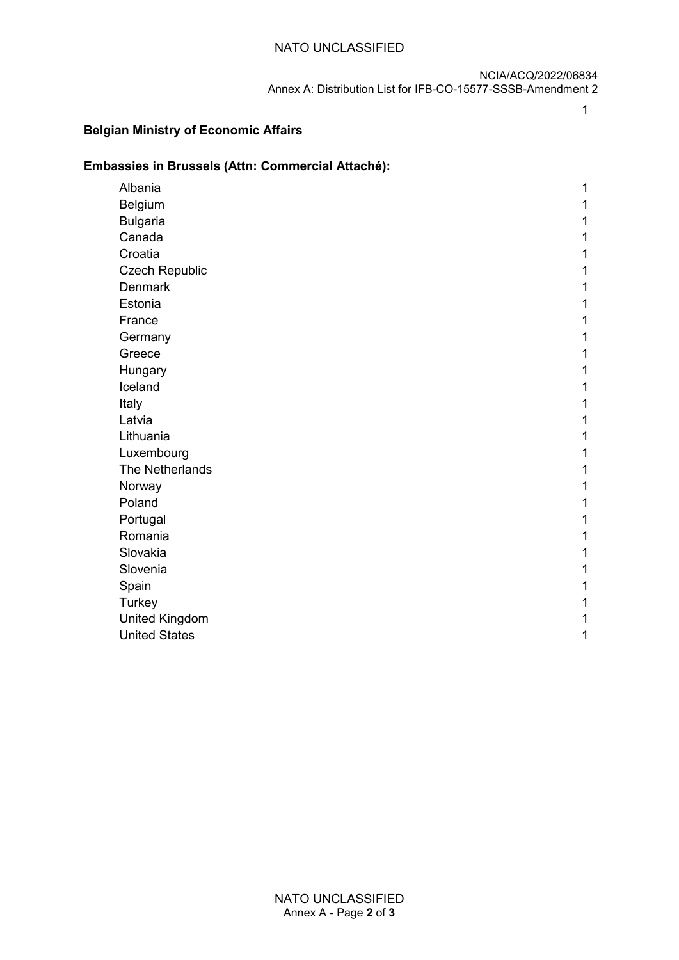## NATO UNCLASSIFIED

NCIA/ACQ/2022/06834 Annex A: Distribution List for IFB-CO-15577-SSSB-Amendment 2

#### **Belgian Ministry of Economic Affairs**

## **Embassies in Brussels (Attn: Commercial Attaché):**

1